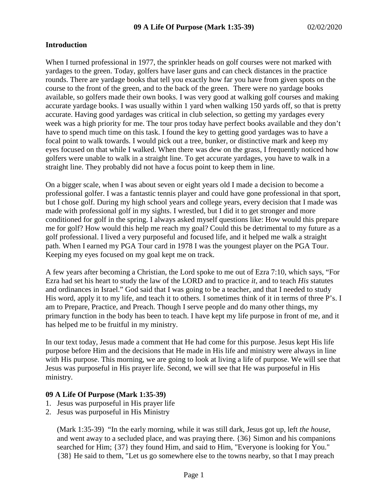### **Introduction**

When I turned professional in 1977, the sprinkler heads on golf courses were not marked with yardages to the green. Today, golfers have laser guns and can check distances in the practice rounds. There are yardage books that tell you exactly how far you have from given spots on the course to the front of the green, and to the back of the green. There were no yardage books available, so golfers made their own books. I was very good at walking golf courses and making accurate yardage books. I was usually within 1 yard when walking 150 yards off, so that is pretty accurate. Having good yardages was critical in club selection, so getting my yardages every week was a high priority for me. The tour pros today have perfect books available and they don't have to spend much time on this task. I found the key to getting good yardages was to have a focal point to walk towards. I would pick out a tree, bunker, or distinctive mark and keep my eyes focused on that while I walked. When there was dew on the grass, I frequently noticed how golfers were unable to walk in a straight line. To get accurate yardages, you have to walk in a straight line. They probably did not have a focus point to keep them in line.

On a bigger scale, when I was about seven or eight years old I made a decision to become a professional golfer. I was a fantastic tennis player and could have gone professional in that sport, but I chose golf. During my high school years and college years, every decision that I made was made with professional golf in my sights. I wrestled, but I did it to get stronger and more conditioned for golf in the spring. I always asked myself questions like: How would this prepare me for golf? How would this help me reach my goal? Could this be detrimental to my future as a golf professional. I lived a very purposeful and focused life, and it helped me walk a straight path. When I earned my PGA Tour card in 1978 I was the youngest player on the PGA Tour. Keeping my eyes focused on my goal kept me on track.

A few years after becoming a Christian, the Lord spoke to me out of Ezra 7:10, which says, "For Ezra had set his heart to study the law of the LORD and to practice *it,* and to teach *His* statutes and ordinances in Israel." God said that I was going to be a teacher, and that I needed to study His word, apply it to my life, and teach it to others. I sometimes think of it in terms of three P's. I am to Prepare, Practice, and Preach. Though I serve people and do many other things, my primary function in the body has been to teach. I have kept my life purpose in front of me, and it has helped me to be fruitful in my ministry.

In our text today, Jesus made a comment that He had come for this purpose. Jesus kept His life purpose before Him and the decisions that He made in His life and ministry were always in line with His purpose. This morning, we are going to look at living a life of purpose. We will see that Jesus was purposeful in His prayer life. Second, we will see that He was purposeful in His ministry.

### **09 A Life Of Purpose (Mark 1:35-39)**

- 1. Jesus was purposeful in His prayer life
- 2. Jesus was purposeful in His Ministry

(Mark 1:35-39) "In the early morning, while it was still dark, Jesus got up, left *the house,* and went away to a secluded place, and was praying there. {36} Simon and his companions searched for Him; {37} they found Him, and said to Him, "Everyone is looking for You." {38} He said to them, "Let us go somewhere else to the towns nearby, so that I may preach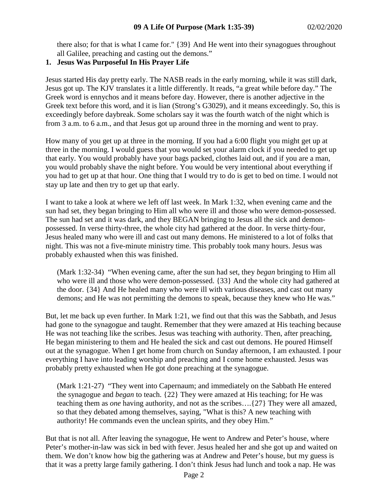there also; for that is what I came for." {39} And He went into their synagogues throughout all Galilee, preaching and casting out the demons."

# **1. Jesus Was Purposeful In His Prayer Life**

Jesus started His day pretty early. The NASB reads in the early morning, while it was still dark, Jesus got up. The KJV translates it a little differently. It reads, "a great while before day." The Greek word is ennychos and it means before day. However, there is another adjective in the Greek text before this word, and it is lian (Strong's G3029), and it means exceedingly. So, this is exceedingly before daybreak. Some scholars say it was the fourth watch of the night which is from 3 a.m. to 6 a.m., and that Jesus got up around three in the morning and went to pray.

How many of you get up at three in the morning. If you had a 6:00 flight you might get up at three in the morning. I would guess that you would set your alarm clock if you needed to get up that early. You would probably have your bags packed, clothes laid out, and if you are a man, you would probably shave the night before. You would be very intentional about everything if you had to get up at that hour. One thing that I would try to do is get to bed on time. I would not stay up late and then try to get up that early.

I want to take a look at where we left off last week. In Mark 1:32, when evening came and the sun had set, they began bringing to Him all who were ill and those who were demon-possessed. The sun had set and it was dark, and they BEGAN bringing to Jesus all the sick and demonpossessed. In verse thirty-three, the whole city had gathered at the door. In verse thirty-four, Jesus healed many who were ill and cast out many demons. He ministered to a lot of folks that night. This was not a five-minute ministry time. This probably took many hours. Jesus was probably exhausted when this was finished.

(Mark 1:32-34) "When evening came, after the sun had set, they *began* bringing to Him all who were ill and those who were demon-possessed. {33} And the whole city had gathered at the door. {34} And He healed many who were ill with various diseases, and cast out many demons; and He was not permitting the demons to speak, because they knew who He was."

But, let me back up even further. In Mark 1:21, we find out that this was the Sabbath, and Jesus had gone to the synagogue and taught. Remember that they were amazed at His teaching because He was not teaching like the scribes. Jesus was teaching with authority. Then, after preaching, He began ministering to them and He healed the sick and cast out demons. He poured Himself out at the synagogue. When I get home from church on Sunday afternoon, I am exhausted. I pour everything I have into leading worship and preaching and I come home exhausted. Jesus was probably pretty exhausted when He got done preaching at the synagogue.

(Mark 1:21-27) "They went into Capernaum; and immediately on the Sabbath He entered the synagogue and *began* to teach. {22} They were amazed at His teaching; for He was teaching them as *one* having authority, and not as the scribes….{27} They were all amazed, so that they debated among themselves, saying, "What is this? A new teaching with authority! He commands even the unclean spirits, and they obey Him."

But that is not all. After leaving the synagogue, He went to Andrew and Peter's house, where Peter's mother-in-law was sick in bed with fever. Jesus healed her and she got up and waited on them. We don't know how big the gathering was at Andrew and Peter's house, but my guess is that it was a pretty large family gathering. I don't think Jesus had lunch and took a nap. He was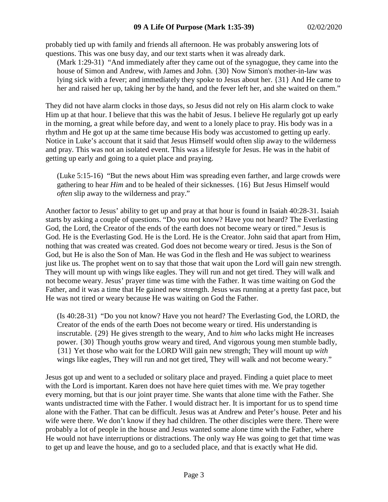probably tied up with family and friends all afternoon. He was probably answering lots of questions. This was one busy day, and our text starts when it was already dark.

(Mark 1:29-31) "And immediately after they came out of the synagogue, they came into the house of Simon and Andrew, with James and John. {30} Now Simon's mother-in-law was lying sick with a fever; and immediately they spoke to Jesus about her. {31} And He came to her and raised her up, taking her by the hand, and the fever left her, and she waited on them."

They did not have alarm clocks in those days, so Jesus did not rely on His alarm clock to wake Him up at that hour. I believe that this was the habit of Jesus. I believe He regularly got up early in the morning, a great while before day, and went to a lonely place to pray. His body was in a rhythm and He got up at the same time because His body was accustomed to getting up early. Notice in Luke's account that it said that Jesus Himself would often slip away to the wilderness and pray. This was not an isolated event. This was a lifestyle for Jesus. He was in the habit of getting up early and going to a quiet place and praying.

(Luke 5:15-16) "But the news about Him was spreading even farther, and large crowds were gathering to hear *Him* and to be healed of their sicknesses. {16} But Jesus Himself would *often* slip away to the wilderness and pray."

Another factor to Jesus' ability to get up and pray at that hour is found in Isaiah 40:28-31. Isaiah starts by asking a couple of questions. "Do you not know? Have you not heard? The Everlasting God, the Lord, the Creator of the ends of the earth does not become weary or tired." Jesus is God. He is the Everlasting God. He is the Lord. He is the Creator. John said that apart from Him, nothing that was created was created. God does not become weary or tired. Jesus is the Son of God, but He is also the Son of Man. He was God in the flesh and He was subject to weariness just like us. The prophet went on to say that those that wait upon the Lord will gain new strength. They will mount up with wings like eagles. They will run and not get tired. They will walk and not become weary. Jesus' prayer time was time with the Father. It was time waiting on God the Father, and it was a time that He gained new strength. Jesus was running at a pretty fast pace, but He was not tired or weary because He was waiting on God the Father.

(Is 40:28-31) "Do you not know? Have you not heard? The Everlasting God, the LORD, the Creator of the ends of the earth Does not become weary or tired. His understanding is inscrutable. {29} He gives strength to the weary, And to *him who* lacks might He increases power. {30} Though youths grow weary and tired, And vigorous young men stumble badly, {31} Yet those who wait for the LORD Will gain new strength; They will mount up *with* wings like eagles, They will run and not get tired, They will walk and not become weary."

Jesus got up and went to a secluded or solitary place and prayed. Finding a quiet place to meet with the Lord is important. Karen does not have here quiet times with me. We pray together every morning, but that is our joint prayer time. She wants that alone time with the Father. She wants undistracted time with the Father. I would distract her. It is important for us to spend time alone with the Father. That can be difficult. Jesus was at Andrew and Peter's house. Peter and his wife were there. We don't know if they had children. The other disciples were there. There were probably a lot of people in the house and Jesus wanted some alone time with the Father, where He would not have interruptions or distractions. The only way He was going to get that time was to get up and leave the house, and go to a secluded place, and that is exactly what He did.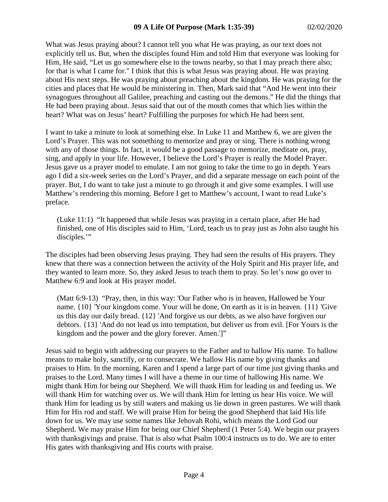What was Jesus praying about? I cannot tell you what He was praying, as our text does not explicitly tell us. But, when the disciples found Him and told Him that everyone was looking for Him, He said, "Let us go somewhere else to the towns nearby, so that I may preach there also; for that is what I came for." I think that this is what Jesus was praying about. He was praying about His next steps. He was praying about preaching about the kingdom. He was praying for the cities and places that He would be ministering in. Then, Mark said that "And He went into their synagogues throughout all Galilee, preaching and casting out the demons." He did the things that He had been praying about. Jesus said that out of the mouth comes that which lies within the heart? What was on Jesus' heart? Fulfilling the purposes for which He had been sent.

I want to take a minute to look at something else. In Luke 11 and Matthew 6, we are given the Lord's Prayer. This was not something to memorize and pray or sing. There is nothing wrong with any of those things. In fact, it would be a good passage to memorize, meditate on, pray, sing, and apply in your life. However, I believe the Lord's Prayer is really the Model Prayer. Jesus gave us a prayer model to emulate. I am not going to take the time to go in depth. Years ago I did a six-week series on the Lord's Prayer, and did a separate message on each point of the prayer. But, I do want to take just a minute to go through it and give some examples. I will use Matthew's rendering this morning. Before I get to Matthew's account, I want to read Luke's preface.

(Luke 11:1) "It happened that while Jesus was praying in a certain place, after He had finished, one of His disciples said to Him, 'Lord, teach us to pray just as John also taught his disciples."

The disciples had been observing Jesus praying. They had seen the results of His prayers. They knew that there was a connection between the activity of the Holy Spirit and His prayer life, and they wanted to learn more. So, they asked Jesus to teach them to pray. So let's now go over to Matthew 6:9 and look at His prayer model.

(Matt 6:9-13) "Pray, then, in this way: 'Our Father who is in heaven, Hallowed be Your name. {10} 'Your kingdom come. Your will be done, On earth as it is in heaven. {11} 'Give us this day our daily bread. {12} 'And forgive us our debts, as we also have forgiven our debtors. {13} 'And do not lead us into temptation, but deliver us from evil. [For Yours is the kingdom and the power and the glory forever. Amen.']"

Jesus said to begin with addressing our prayers to the Father and to hallow His name. To hallow means to make holy, sanctify, or to consecrate. We hallow His name by giving thanks and praises to Him. In the morning, Karen and I spend a large part of our time just giving thanks and praises to the Lord. Many times I will have a theme in our time of hallowing His name. We might thank Him for being our Shepherd. We will thank Him for leading us and feeding us. We will thank Him for watching over us. We will thank Him for letting us hear His voice. We will thank Him for leading us by still waters and making us lie down in green pastures. We will thank Him for His rod and staff. We will praise Him for being the good Shepherd that laid His life down for us. We may use some names like Jehovah Rohi, which means the Lord God our Shepherd. We may praise Him for being our Chief Shepherd (1 Peter 5:4). We begin our prayers with thanksgivings and praise. That is also what Psalm 100:4 instructs us to do. We are to enter His gates with thanksgiving and His courts with praise.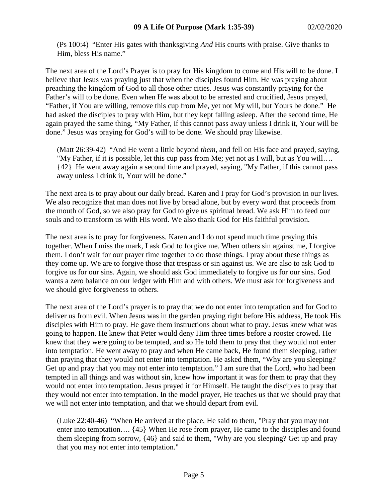(Ps 100:4) "Enter His gates with thanksgiving *And* His courts with praise. Give thanks to Him, bless His name."

The next area of the Lord's Prayer is to pray for His kingdom to come and His will to be done. I believe that Jesus was praying just that when the disciples found Him. He was praying about preaching the kingdom of God to all those other cities. Jesus was constantly praying for the Father's will to be done. Even when He was about to be arrested and crucified, Jesus prayed, "Father, if You are willing, remove this cup from Me, yet not My will, but Yours be done." He had asked the disciples to pray with Him, but they kept falling asleep. After the second time, He again prayed the same thing, "My Father, if this cannot pass away unless I drink it, Your will be done." Jesus was praying for God's will to be done. We should pray likewise.

(Matt 26:39-42) "And He went a little beyond *them,* and fell on His face and prayed, saying, "My Father, if it is possible, let this cup pass from Me; yet not as I will, but as You will…. {42} He went away again a second time and prayed, saying, "My Father, if this cannot pass away unless I drink it, Your will be done."

The next area is to pray about our daily bread. Karen and I pray for God's provision in our lives. We also recognize that man does not live by bread alone, but by every word that proceeds from the mouth of God, so we also pray for God to give us spiritual bread. We ask Him to feed our souls and to transform us with His word. We also thank God for His faithful provision.

The next area is to pray for forgiveness. Karen and I do not spend much time praying this together. When I miss the mark, I ask God to forgive me. When others sin against me, I forgive them. I don't wait for our prayer time together to do those things. I pray about these things as they come up. We are to forgive those that trespass or sin against us. We are also to ask God to forgive us for our sins. Again, we should ask God immediately to forgive us for our sins. God wants a zero balance on our ledger with Him and with others. We must ask for forgiveness and we should give forgiveness to others.

The next area of the Lord's prayer is to pray that we do not enter into temptation and for God to deliver us from evil. When Jesus was in the garden praying right before His address, He took His disciples with Him to pray. He gave them instructions about what to pray. Jesus knew what was going to happen. He knew that Peter would deny Him three times before a rooster crowed. He knew that they were going to be tempted, and so He told them to pray that they would not enter into temptation. He went away to pray and when He came back, He found them sleeping, rather than praying that they would not enter into temptation. He asked them, "Why are you sleeping? Get up and pray that you may not enter into temptation." I am sure that the Lord, who had been tempted in all things and was without sin, knew how important it was for them to pray that they would not enter into temptation. Jesus prayed it for Himself. He taught the disciples to pray that they would not enter into temptation. In the model prayer, He teaches us that we should pray that we will not enter into temptation, and that we should depart from evil.

(Luke 22:40-46) "When He arrived at the place, He said to them, "Pray that you may not enter into temptation…. {45} When He rose from prayer, He came to the disciples and found them sleeping from sorrow, {46} and said to them, "Why are you sleeping? Get up and pray that you may not enter into temptation."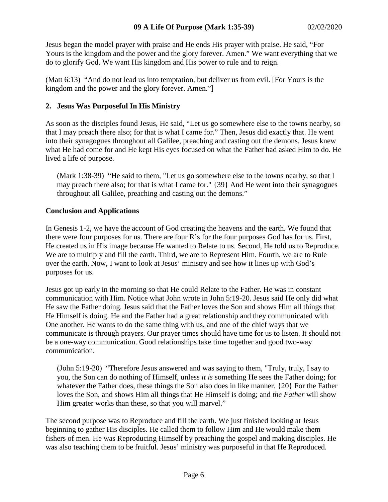Jesus began the model prayer with praise and He ends His prayer with praise. He said, "For Yours is the kingdom and the power and the glory forever. Amen." We want everything that we do to glorify God. We want His kingdom and His power to rule and to reign.

(Matt 6:13) "And do not lead us into temptation, but deliver us from evil. [For Yours is the kingdom and the power and the glory forever. Amen."]

### **2. Jesus Was Purposeful In His Ministry**

As soon as the disciples found Jesus, He said, "Let us go somewhere else to the towns nearby, so that I may preach there also; for that is what I came for." Then, Jesus did exactly that. He went into their synagogues throughout all Galilee, preaching and casting out the demons. Jesus knew what He had come for and He kept His eyes focused on what the Father had asked Him to do. He lived a life of purpose.

(Mark 1:38-39) "He said to them, "Let us go somewhere else to the towns nearby, so that I may preach there also; for that is what I came for." {39} And He went into their synagogues throughout all Galilee, preaching and casting out the demons."

## **Conclusion and Applications**

In Genesis 1-2, we have the account of God creating the heavens and the earth. We found that there were four purposes for us. There are four R's for the four purposes God has for us. First, He created us in His image because He wanted to Relate to us. Second, He told us to Reproduce. We are to multiply and fill the earth. Third, we are to Represent Him. Fourth, we are to Rule over the earth. Now, I want to look at Jesus' ministry and see how it lines up with God's purposes for us.

Jesus got up early in the morning so that He could Relate to the Father. He was in constant communication with Him. Notice what John wrote in John 5:19-20. Jesus said He only did what He saw the Father doing. Jesus said that the Father loves the Son and shows Him all things that He Himself is doing. He and the Father had a great relationship and they communicated with One another. He wants to do the same thing with us, and one of the chief ways that we communicate is through prayers. Our prayer times should have time for us to listen. It should not be a one-way communication. Good relationships take time together and good two-way communication.

(John 5:19-20) "Therefore Jesus answered and was saying to them, "Truly, truly, I say to you, the Son can do nothing of Himself, unless *it is* something He sees the Father doing; for whatever the Father does, these things the Son also does in like manner. {20} For the Father loves the Son, and shows Him all things that He Himself is doing; and *the Father* will show Him greater works than these, so that you will marvel."

The second purpose was to Reproduce and fill the earth. We just finished looking at Jesus beginning to gather His disciples. He called them to follow Him and He would make them fishers of men. He was Reproducing Himself by preaching the gospel and making disciples. He was also teaching them to be fruitful. Jesus' ministry was purposeful in that He Reproduced.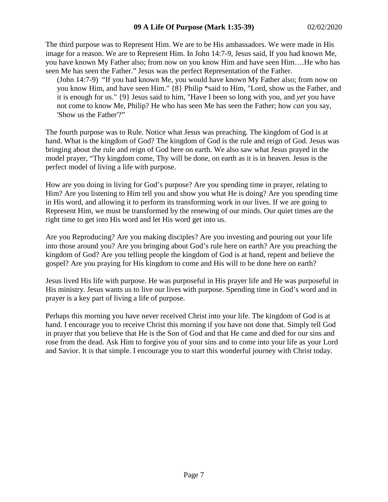The third purpose was to Represent Him. We are to be His ambassadors. We were made in His image for a reason. We are to Represent Him. In John 14:7-9, Jesus said, If you had known Me, you have known My Father also; from now on you know Him and have seen Him….He who has seen Me has seen the Father." Jesus was the perfect Representation of the Father.

(John 14:7-9) "If you had known Me, you would have known My Father also; from now on you know Him, and have seen Him." {8} Philip \*said to Him, "Lord, show us the Father, and it is enough for us." {9} Jesus said to him, "Have I been so long with you, and *yet* you have not come to know Me, Philip? He who has seen Me has seen the Father; how *can* you say, 'Show us the Father'?"

The fourth purpose was to Rule. Notice what Jesus was preaching. The kingdom of God is at hand. What is the kingdom of God? The kingdom of God is the rule and reign of God. Jesus was bringing about the rule and reign of God here on earth. We also saw what Jesus prayed in the model prayer, "Thy kingdom come, Thy will be done, on earth as it is in heaven. Jesus is the perfect model of living a life with purpose.

How are you doing in living for God's purpose? Are you spending time in prayer, relating to Him? Are you listening to Him tell you and show you what He is doing? Are you spending time in His word, and allowing it to perform its transforming work in our lives. If we are going to Represent Him, we must be transformed by the renewing of our minds. Our quiet times are the right time to get into His word and let His word get into us.

Are you Reproducing? Are you making disciples? Are you investing and pouring out your life into those around you? Are you bringing about God's rule here on earth? Are you preaching the kingdom of God? Are you telling people the kingdom of God is at hand, repent and believe the gospel? Are you praying for His kingdom to come and His will to be done here on earth?

Jesus lived His life with purpose. He was purposeful in His prayer life and He was purposeful in His ministry. Jesus wants us to live our lives with purpose. Spending time in God's word and in prayer is a key part of living a life of purpose.

Perhaps this morning you have never received Christ into your life. The kingdom of God is at hand. I encourage you to receive Christ this morning if you have not done that. Simply tell God in prayer that you believe that He is the Son of God and that He came and died for our sins and rose from the dead. Ask Him to forgive you of your sins and to come into your life as your Lord and Savior. It is that simple. I encourage you to start this wonderful journey with Christ today.